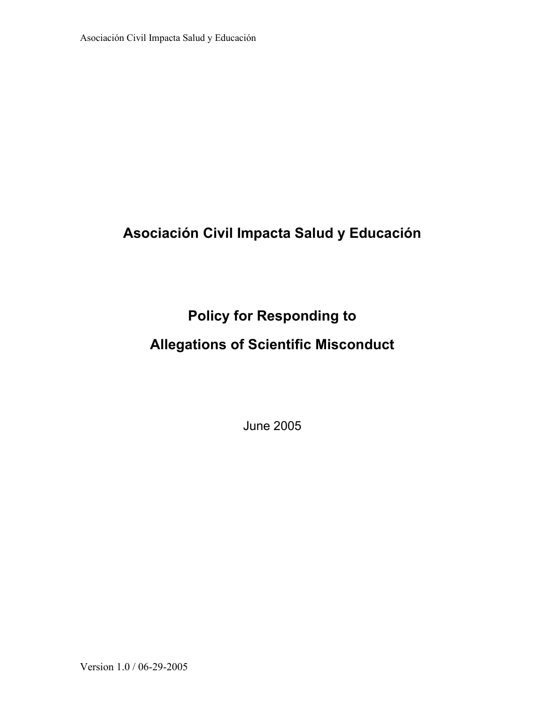# **Asociación Civil Impacta Salud y Educación**

# **Policy for Responding to**

# **Allegations of Scientific Misconduct**

June 2005

Version 1.0 / 06-29-2005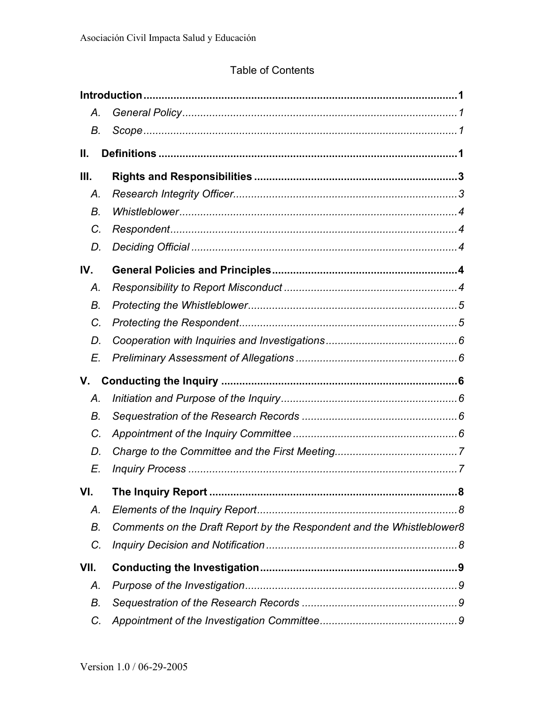#### **Table of Contents**

| А.   |                                                                       |  |  |  |
|------|-----------------------------------------------------------------------|--|--|--|
| В.   |                                                                       |  |  |  |
| Ⅱ.   |                                                                       |  |  |  |
| III. |                                                                       |  |  |  |
| А.   |                                                                       |  |  |  |
| В.   |                                                                       |  |  |  |
| C.   |                                                                       |  |  |  |
| D.   |                                                                       |  |  |  |
| IV.  |                                                                       |  |  |  |
| А.   |                                                                       |  |  |  |
| В.   |                                                                       |  |  |  |
| C.   |                                                                       |  |  |  |
| D.   |                                                                       |  |  |  |
| E.   |                                                                       |  |  |  |
| V.   |                                                                       |  |  |  |
| А.   |                                                                       |  |  |  |
| В.   |                                                                       |  |  |  |
| C.   |                                                                       |  |  |  |
| D.   |                                                                       |  |  |  |
| Е.   |                                                                       |  |  |  |
| VI.  |                                                                       |  |  |  |
| А.   |                                                                       |  |  |  |
| В.   | Comments on the Draft Report by the Respondent and the Whistleblower8 |  |  |  |
| C.   |                                                                       |  |  |  |
| VII. |                                                                       |  |  |  |
| А.   |                                                                       |  |  |  |
| В.   |                                                                       |  |  |  |
| C.   |                                                                       |  |  |  |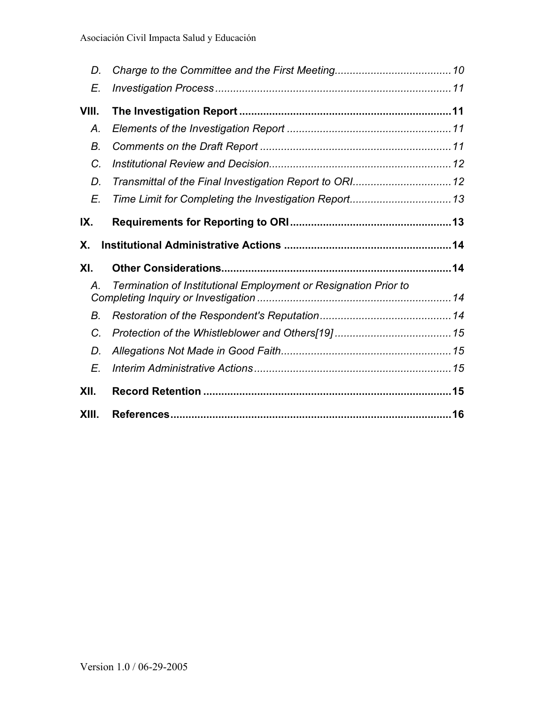| E.<br>VIII.<br>Α.<br>В.<br>C.<br>Transmittal of the Final Investigation Report to ORI 12<br>D.<br>E.<br>IX.<br>Χ.<br>XI.<br>Termination of Institutional Employment or Resignation Prior to<br>$\mathcal{A}_{-}$<br>В.<br>C.<br>D.<br>E.<br>XII.<br>XIII. | D. |  |
|-----------------------------------------------------------------------------------------------------------------------------------------------------------------------------------------------------------------------------------------------------------|----|--|
|                                                                                                                                                                                                                                                           |    |  |
|                                                                                                                                                                                                                                                           |    |  |
|                                                                                                                                                                                                                                                           |    |  |
|                                                                                                                                                                                                                                                           |    |  |
|                                                                                                                                                                                                                                                           |    |  |
|                                                                                                                                                                                                                                                           |    |  |
|                                                                                                                                                                                                                                                           |    |  |
|                                                                                                                                                                                                                                                           |    |  |
|                                                                                                                                                                                                                                                           |    |  |
|                                                                                                                                                                                                                                                           |    |  |
|                                                                                                                                                                                                                                                           |    |  |
|                                                                                                                                                                                                                                                           |    |  |
|                                                                                                                                                                                                                                                           |    |  |
|                                                                                                                                                                                                                                                           |    |  |
|                                                                                                                                                                                                                                                           |    |  |
|                                                                                                                                                                                                                                                           |    |  |
|                                                                                                                                                                                                                                                           |    |  |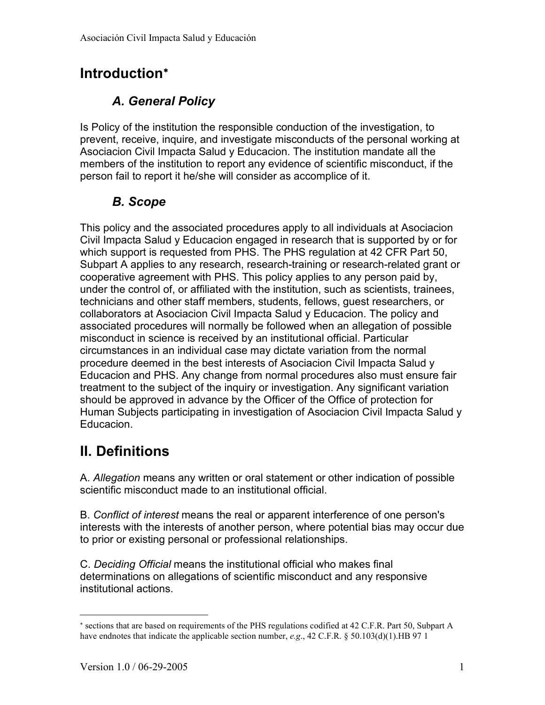# <span id="page-3-0"></span>**Introduction**[∗](#page-3-4)

## *A. General Policy*

<span id="page-3-1"></span>Is Policy of the institution the responsible conduction of the investigation, to prevent, receive, inquire, and investigate misconducts of the personal working at Asociacion Civil Impacta Salud y Educacion. The institution mandate all the members of the institution to report any evidence of scientific misconduct, if the person fail to report it he/she will consider as accomplice of it.

## *B. Scope*

<span id="page-3-2"></span>This policy and the associated procedures apply to all individuals at Asociacion Civil Impacta Salud y Educacion engaged in research that is supported by or for which support is requested from PHS. The PHS regulation at 42 CFR Part 50, Subpart A applies to any research, research-training or research-related grant or cooperative agreement with PHS. This policy applies to any person paid by, under the control of, or affiliated with the institution, such as scientists, trainees, technicians and other staff members, students, fellows, guest researchers, or collaborators at Asociacion Civil Impacta Salud y Educacion. The policy and associated procedures will normally be followed when an allegation of possible misconduct in science is received by an institutional official. Particular circumstances in an individual case may dictate variation from the normal procedure deemed in the best interests of Asociacion Civil Impacta Salud y Educacion and PHS. Any change from normal procedures also must ensure fair treatment to the subject of the inquiry or investigation. Any significant variation should be approved in advance by the Officer of the Office of protection for Human Subjects participating in investigation of Asociacion Civil Impacta Salud y Educacion.

# <span id="page-3-3"></span>**II. Definitions**

A. *Allegation* means any written or oral statement or other indication of possible scientific misconduct made to an institutional official.

B. *Conflict of interest* means the real or apparent interference of one person's interests with the interests of another person, where potential bias may occur due to prior or existing personal or professional relationships.

C. *Deciding Official* means the institutional official who makes final determinations on allegations of scientific misconduct and any responsive institutional actions.

<span id="page-3-4"></span><sup>∗</sup> sections that are based on requirements of the PHS regulations codified at 42 C.F.R. Part 50, Subpart A have endnotes that indicate the applicable section number, *e.g*., 42 C.F.R. § 50.103(d)(1).HB 97 1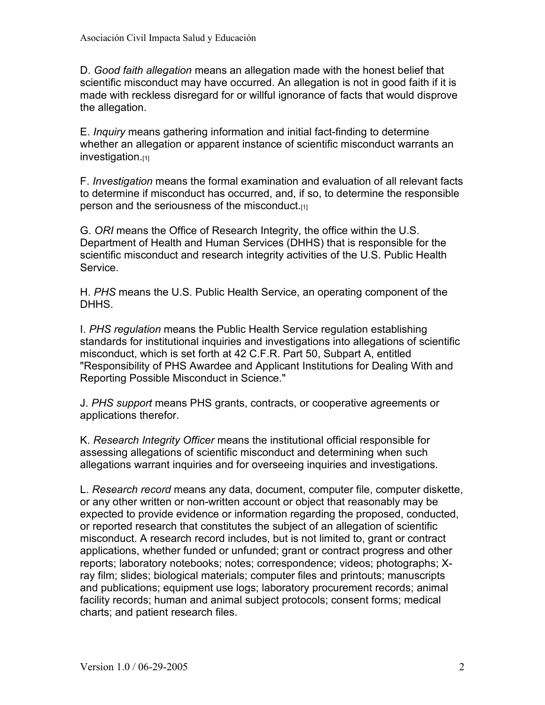D. *Good faith allegation* means an allegation made with the honest belief that scientific misconduct may have occurred. An allegation is not in good faith if it is made with reckless disregard for or willful ignorance of facts that would disprove the allegation.

E. *Inquiry* means gathering information and initial fact-finding to determine whether an allegation or apparent instance of scientific misconduct warrants an investigation.[1]

F. *Investigation* means the formal examination and evaluation of all relevant facts to determine if misconduct has occurred, and, if so, to determine the responsible person and the seriousness of the misconduct. $[1]$ 

G. *ORI* means the Office of Research Integrity, the office within the U.S. Department of Health and Human Services (DHHS) that is responsible for the scientific misconduct and research integrity activities of the U.S. Public Health Service.

H. *PHS* means the U.S. Public Health Service, an operating component of the DHHS.

I. *PHS regulation* means the Public Health Service regulation establishing standards for institutional inquiries and investigations into allegations of scientific misconduct, which is set forth at 42 C.F.R. Part 50, Subpart A, entitled "Responsibility of PHS Awardee and Applicant Institutions for Dealing With and Reporting Possible Misconduct in Science."

J. *PHS support* means PHS grants, contracts, or cooperative agreements or applications therefor.

K. *Research Integrity Officer* means the institutional official responsible for assessing allegations of scientific misconduct and determining when such allegations warrant inquiries and for overseeing inquiries and investigations.

L. *Research record* means any data, document, computer file, computer diskette, or any other written or non-written account or object that reasonably may be expected to provide evidence or information regarding the proposed, conducted, or reported research that constitutes the subject of an allegation of scientific misconduct. A research record includes, but is not limited to, grant or contract applications, whether funded or unfunded; grant or contract progress and other reports; laboratory notebooks; notes; correspondence; videos; photographs; Xray film; slides; biological materials; computer files and printouts; manuscripts and publications; equipment use logs; laboratory procurement records; animal facility records; human and animal subject protocols; consent forms; medical charts; and patient research files.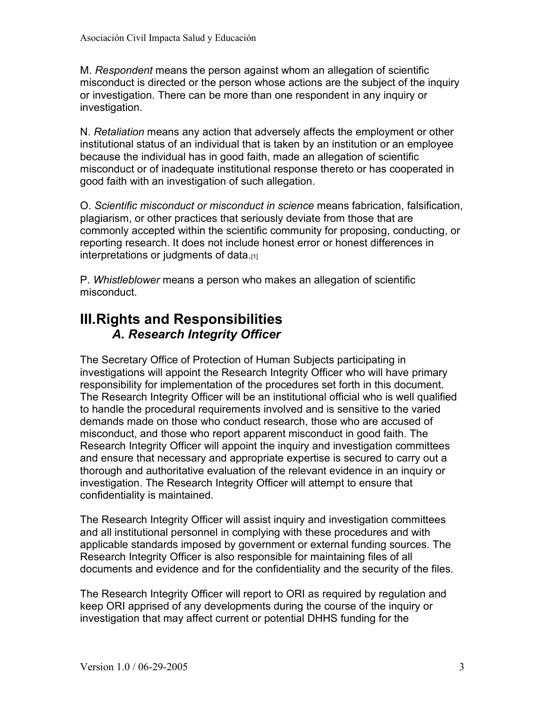M. *Respondent* means the person against whom an allegation of scientific misconduct is directed or the person whose actions are the subject of the inquiry or investigation. There can be more than one respondent in any inquiry or investigation.

N. *Retaliation* means any action that adversely affects the employment or other institutional status of an individual that is taken by an institution or an employee because the individual has in good faith, made an allegation of scientific misconduct or of inadequate institutional response thereto or has cooperated in good faith with an investigation of such allegation.

O. *Scientific misconduct or misconduct in science* means fabrication, falsification, plagiarism, or other practices that seriously deviate from those that are commonly accepted within the scientific community for proposing, conducting, or reporting research. It does not include honest error or honest differences in interpretations or judgments of data.

P. *Whistleblower* means a person who makes an allegation of scientific misconduct.

#### <span id="page-5-1"></span><span id="page-5-0"></span>**III.Rights and Responsibilities** *A. Research Integrity Officer*

The Secretary Office of Protection of Human Subjects participating in investigations will appoint the Research Integrity Officer who will have primary responsibility for implementation of the procedures set forth in this document. The Research Integrity Officer will be an institutional official who is well qualified to handle the procedural requirements involved and is sensitive to the varied demands made on those who conduct research, those who are accused of misconduct, and those who report apparent misconduct in good faith. The Research Integrity Officer will appoint the inquiry and investigation committees and ensure that necessary and appropriate expertise is secured to carry out a thorough and authoritative evaluation of the relevant evidence in an inquiry or investigation. The Research Integrity Officer will attempt to ensure that confidentiality is maintained.

The Research Integrity Officer will assist inquiry and investigation committees and all institutional personnel in complying with these procedures and with applicable standards imposed by government or external funding sources. The Research Integrity Officer is also responsible for maintaining files of all documents and evidence and for the confidentiality and the security of the files.

The Research Integrity Officer will report to ORI as required by regulation and keep ORI apprised of any developments during the course of the inquiry or investigation that may affect current or potential DHHS funding for the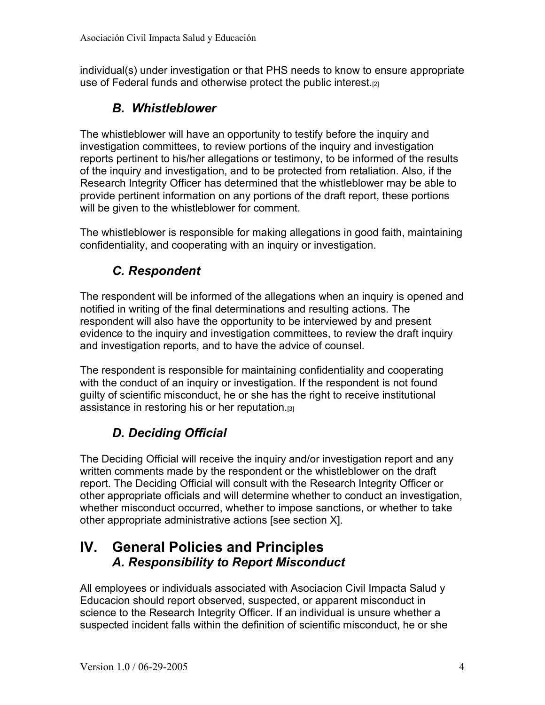individual(s) under investigation or that PHS needs to know to ensure appropriate use of Federal funds and otherwise protect the public interest. $[2]$ 

#### <span id="page-6-0"></span>*B. Whistleblower*

The whistleblower will have an opportunity to testify before the inquiry and investigation committees, to review portions of the inquiry and investigation reports pertinent to his/her allegations or testimony, to be informed of the results of the inquiry and investigation, and to be protected from retaliation. Also, if the Research Integrity Officer has determined that the whistleblower may be able to provide pertinent information on any portions of the draft report, these portions will be given to the whistleblower for comment.

The whistleblower is responsible for making allegations in good faith, maintaining confidentiality, and cooperating with an inquiry or investigation.

### *C. Respondent*

<span id="page-6-1"></span>The respondent will be informed of the allegations when an inquiry is opened and notified in writing of the final determinations and resulting actions. The respondent will also have the opportunity to be interviewed by and present evidence to the inquiry and investigation committees, to review the draft inquiry and investigation reports, and to have the advice of counsel.

The respondent is responsible for maintaining confidentiality and cooperating with the conduct of an inquiry or investigation. If the respondent is not found guilty of scientific misconduct, he or she has the right to receive institutional assistance in restoring his or her reputation.[3]

## *D. Deciding Official*

<span id="page-6-2"></span>The Deciding Official will receive the inquiry and/or investigation report and any written comments made by the respondent or the whistleblower on the draft report. The Deciding Official will consult with the Research Integrity Officer or other appropriate officials and will determine whether to conduct an investigation, whether misconduct occurred, whether to impose sanctions, or whether to take other appropriate administrative actions [see section X].

## <span id="page-6-4"></span><span id="page-6-3"></span>**IV. General Policies and Principles** *A. Responsibility to Report Misconduct*

All employees or individuals associated with Asociacion Civil Impacta Salud y Educacion should report observed, suspected, or apparent misconduct in science to the Research Integrity Officer. If an individual is unsure whether a suspected incident falls within the definition of scientific misconduct, he or she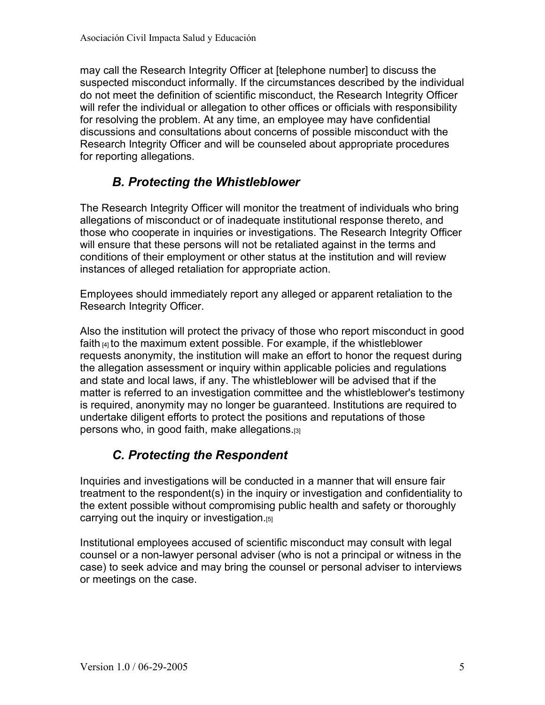may call the Research Integrity Officer at [telephone number] to discuss the suspected misconduct informally. If the circumstances described by the individual do not meet the definition of scientific misconduct, the Research Integrity Officer will refer the individual or allegation to other offices or officials with responsibility for resolving the problem. At any time, an employee may have confidential discussions and consultations about concerns of possible misconduct with the Research Integrity Officer and will be counseled about appropriate procedures for reporting allegations.

#### *B. Protecting the Whistleblower*

<span id="page-7-0"></span>The Research Integrity Officer will monitor the treatment of individuals who bring allegations of misconduct or of inadequate institutional response thereto, and those who cooperate in inquiries or investigations. The Research Integrity Officer will ensure that these persons will not be retaliated against in the terms and conditions of their employment or other status at the institution and will review instances of alleged retaliation for appropriate action.

Employees should immediately report any alleged or apparent retaliation to the Research Integrity Officer.

Also the institution will protect the privacy of those who report misconduct in good faith  $[4]$  to the maximum extent possible. For example, if the whistleblower requests anonymity, the institution will make an effort to honor the request during the allegation assessment or inquiry within applicable policies and regulations and state and local laws, if any. The whistleblower will be advised that if the matter is referred to an investigation committee and the whistleblower's testimony is required, anonymity may no longer be guaranteed. Institutions are required to undertake diligent efforts to protect the positions and reputations of those persons who, in good faith, make allegations.[3]

### *C. Protecting the Respondent*

<span id="page-7-1"></span>Inquiries and investigations will be conducted in a manner that will ensure fair treatment to the respondent(s) in the inquiry or investigation and confidentiality to the extent possible without compromising public health and safety or thoroughly carrying out the inquiry or investigation.[5]

Institutional employees accused of scientific misconduct may consult with legal counsel or a non-lawyer personal adviser (who is not a principal or witness in the case) to seek advice and may bring the counsel or personal adviser to interviews or meetings on the case.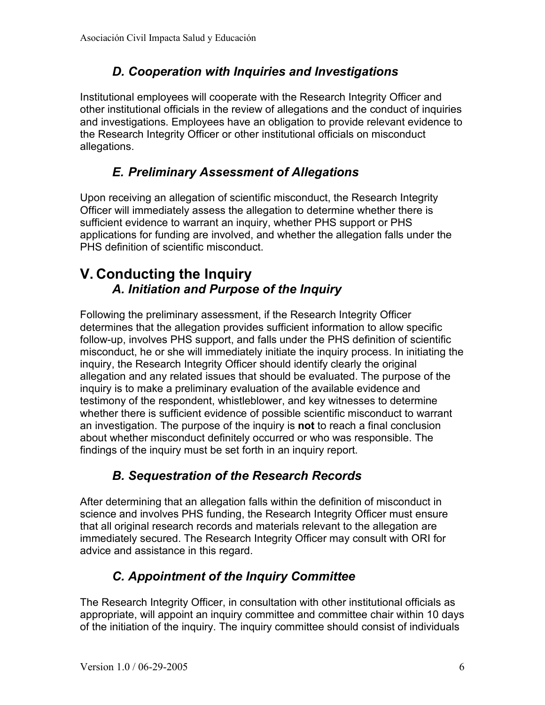#### *D. Cooperation with Inquiries and Investigations*

<span id="page-8-0"></span>Institutional employees will cooperate with the Research Integrity Officer and other institutional officials in the review of allegations and the conduct of inquiries and investigations. Employees have an obligation to provide relevant evidence to the Research Integrity Officer or other institutional officials on misconduct allegations.

## *E. Preliminary Assessment of Allegations*

<span id="page-8-1"></span>Upon receiving an allegation of scientific misconduct, the Research Integrity Officer will immediately assess the allegation to determine whether there is sufficient evidence to warrant an inquiry, whether PHS support or PHS applications for funding are involved, and whether the allegation falls under the PHS definition of scientific misconduct.

## <span id="page-8-3"></span><span id="page-8-2"></span>**V. Conducting the Inquiry** *A. Initiation and Purpose of the Inquiry*

Following the preliminary assessment, if the Research Integrity Officer determines that the allegation provides sufficient information to allow specific follow-up, involves PHS support, and falls under the PHS definition of scientific misconduct, he or she will immediately initiate the inquiry process. In initiating the inquiry, the Research Integrity Officer should identify clearly the original allegation and any related issues that should be evaluated. The purpose of the inquiry is to make a preliminary evaluation of the available evidence and testimony of the respondent, whistleblower, and key witnesses to determine whether there is sufficient evidence of possible scientific misconduct to warrant an investigation. The purpose of the inquiry is **not** to reach a final conclusion about whether misconduct definitely occurred or who was responsible. The findings of the inquiry must be set forth in an inquiry report.

### *B. Sequestration of the Research Records*

<span id="page-8-4"></span>After determining that an allegation falls within the definition of misconduct in science and involves PHS funding, the Research Integrity Officer must ensure that all original research records and materials relevant to the allegation are immediately secured. The Research Integrity Officer may consult with ORI for advice and assistance in this regard.

## *C. Appointment of the Inquiry Committee*

<span id="page-8-5"></span>The Research Integrity Officer, in consultation with other institutional officials as appropriate, will appoint an inquiry committee and committee chair within 10 days of the initiation of the inquiry. The inquiry committee should consist of individuals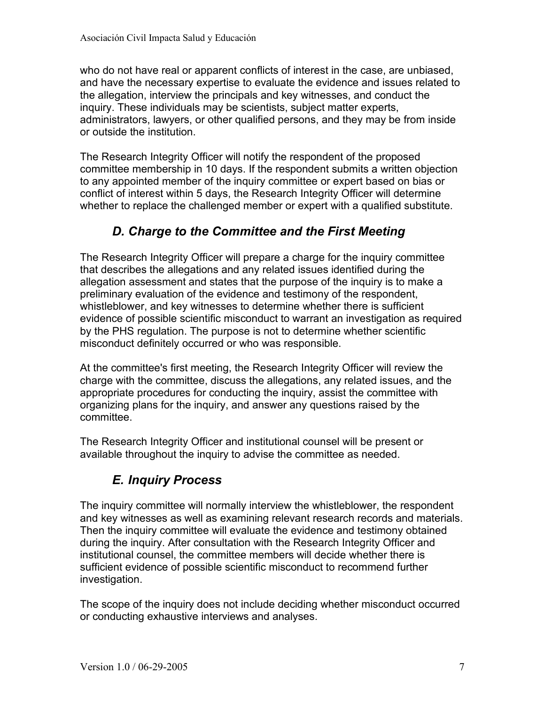who do not have real or apparent conflicts of interest in the case, are unbiased, and have the necessary expertise to evaluate the evidence and issues related to the allegation, interview the principals and key witnesses, and conduct the inquiry. These individuals may be scientists, subject matter experts, administrators, lawyers, or other qualified persons, and they may be from inside or outside the institution.

The Research Integrity Officer will notify the respondent of the proposed committee membership in 10 days. If the respondent submits a written objection to any appointed member of the inquiry committee or expert based on bias or conflict of interest within 5 days, the Research Integrity Officer will determine whether to replace the challenged member or expert with a qualified substitute.

#### *D. Charge to the Committee and the First Meeting*

<span id="page-9-0"></span>The Research Integrity Officer will prepare a charge for the inquiry committee that describes the allegations and any related issues identified during the allegation assessment and states that the purpose of the inquiry is to make a preliminary evaluation of the evidence and testimony of the respondent, whistleblower, and key witnesses to determine whether there is sufficient evidence of possible scientific misconduct to warrant an investigation as required by the PHS regulation. The purpose is not to determine whether scientific misconduct definitely occurred or who was responsible.

At the committee's first meeting, the Research Integrity Officer will review the charge with the committee, discuss the allegations, any related issues, and the appropriate procedures for conducting the inquiry, assist the committee with organizing plans for the inquiry, and answer any questions raised by the committee.

The Research Integrity Officer and institutional counsel will be present or available throughout the inquiry to advise the committee as needed.

### *E. Inquiry Process*

<span id="page-9-1"></span>The inquiry committee will normally interview the whistleblower, the respondent and key witnesses as well as examining relevant research records and materials. Then the inquiry committee will evaluate the evidence and testimony obtained during the inquiry. After consultation with the Research Integrity Officer and institutional counsel, the committee members will decide whether there is sufficient evidence of possible scientific misconduct to recommend further investigation.

The scope of the inquiry does not include deciding whether misconduct occurred or conducting exhaustive interviews and analyses.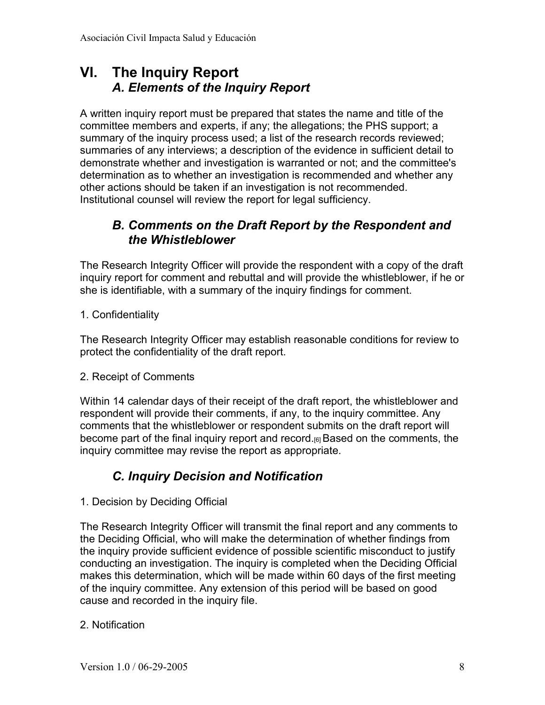## <span id="page-10-1"></span><span id="page-10-0"></span>**VI. The Inquiry Report** *A. Elements of the Inquiry Report*

A written inquiry report must be prepared that states the name and title of the committee members and experts, if any; the allegations; the PHS support; a summary of the inquiry process used; a list of the research records reviewed; summaries of any interviews; a description of the evidence in sufficient detail to demonstrate whether and investigation is warranted or not; and the committee's determination as to whether an investigation is recommended and whether any other actions should be taken if an investigation is not recommended. Institutional counsel will review the report for legal sufficiency.

#### <span id="page-10-2"></span>*B. Comments on the Draft Report by the Respondent and the Whistleblower*

The Research Integrity Officer will provide the respondent with a copy of the draft inquiry report for comment and rebuttal and will provide the whistleblower, if he or she is identifiable, with a summary of the inquiry findings for comment.

#### 1. Confidentiality

The Research Integrity Officer may establish reasonable conditions for review to protect the confidentiality of the draft report.

#### 2. Receipt of Comments

Within 14 calendar days of their receipt of the draft report, the whistleblower and respondent will provide their comments, if any, to the inquiry committee. Any comments that the whistleblower or respondent submits on the draft report will become part of the final inquiry report and record.<sup>[6]</sup> Based on the comments, the inquiry committee may revise the report as appropriate.

#### *C. Inquiry Decision and Notification*

<span id="page-10-3"></span>1. Decision by Deciding Official

The Research Integrity Officer will transmit the final report and any comments to the Deciding Official, who will make the determination of whether findings from the inquiry provide sufficient evidence of possible scientific misconduct to justify conducting an investigation. The inquiry is completed when the Deciding Official makes this determination, which will be made within 60 days of the first meeting of the inquiry committee. Any extension of this period will be based on good cause and recorded in the inquiry file.

#### 2. Notification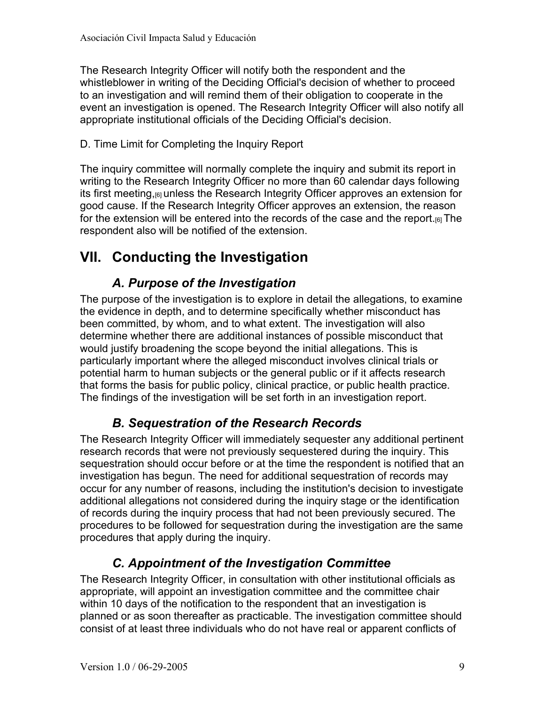The Research Integrity Officer will notify both the respondent and the whistleblower in writing of the Deciding Official's decision of whether to proceed to an investigation and will remind them of their obligation to cooperate in the event an investigation is opened. The Research Integrity Officer will also notify all appropriate institutional officials of the Deciding Official's decision.

#### D. Time Limit for Completing the Inquiry Report

The inquiry committee will normally complete the inquiry and submit its report in writing to the Research Integrity Officer no more than 60 calendar days following its first meeting,[6] unless the Research Integrity Officer approves an extension for good cause. If the Research Integrity Officer approves an extension, the reason for the extension will be entered into the records of the case and the report.<sup>[6]</sup> The respondent also will be notified of the extension.

# <span id="page-11-1"></span><span id="page-11-0"></span>**VII. Conducting the Investigation**

### *A. Purpose of the Investigation*

The purpose of the investigation is to explore in detail the allegations, to examine the evidence in depth, and to determine specifically whether misconduct has been committed, by whom, and to what extent. The investigation will also determine whether there are additional instances of possible misconduct that would justify broadening the scope beyond the initial allegations. This is particularly important where the alleged misconduct involves clinical trials or potential harm to human subjects or the general public or if it affects research that forms the basis for public policy, clinical practice, or public health practice. The findings of the investigation will be set forth in an investigation report.

### *B. Sequestration of the Research Records*

<span id="page-11-2"></span>The Research Integrity Officer will immediately sequester any additional pertinent research records that were not previously sequestered during the inquiry. This sequestration should occur before or at the time the respondent is notified that an investigation has begun. The need for additional sequestration of records may occur for any number of reasons, including the institution's decision to investigate additional allegations not considered during the inquiry stage or the identification of records during the inquiry process that had not been previously secured. The procedures to be followed for sequestration during the investigation are the same procedures that apply during the inquiry.

### *C. Appointment of the Investigation Committee*

<span id="page-11-3"></span>The Research Integrity Officer, in consultation with other institutional officials as appropriate, will appoint an investigation committee and the committee chair within 10 days of the notification to the respondent that an investigation is planned or as soon thereafter as practicable. The investigation committee should consist of at least three individuals who do not have real or apparent conflicts of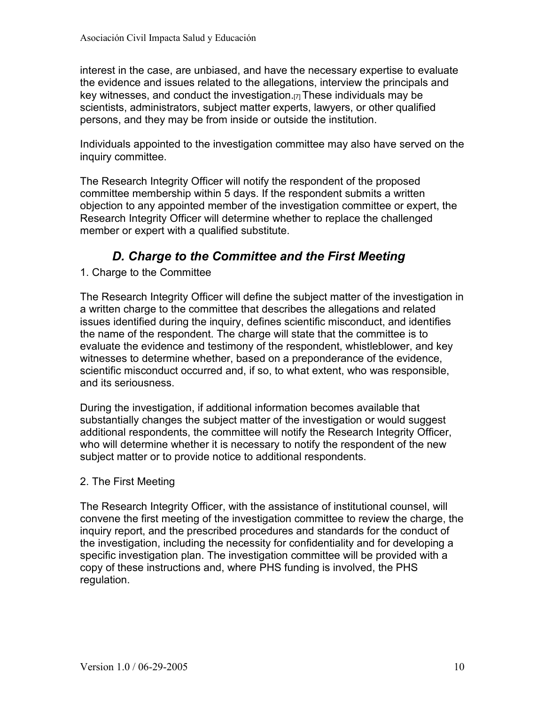interest in the case, are unbiased, and have the necessary expertise to evaluate the evidence and issues related to the allegations, interview the principals and key witnesses, and conduct the investigation. $[7]$  These individuals may be scientists, administrators, subject matter experts, lawyers, or other qualified persons, and they may be from inside or outside the institution.

Individuals appointed to the investigation committee may also have served on the inquiry committee.

The Research Integrity Officer will notify the respondent of the proposed committee membership within 5 days. If the respondent submits a written objection to any appointed member of the investigation committee or expert, the Research Integrity Officer will determine whether to replace the challenged member or expert with a qualified substitute.

#### *D. Charge to the Committee and the First Meeting*

<span id="page-12-0"></span>1. Charge to the Committee

The Research Integrity Officer will define the subject matter of the investigation in a written charge to the committee that describes the allegations and related issues identified during the inquiry, defines scientific misconduct, and identifies the name of the respondent. The charge will state that the committee is to evaluate the evidence and testimony of the respondent, whistleblower, and key witnesses to determine whether, based on a preponderance of the evidence, scientific misconduct occurred and, if so, to what extent, who was responsible, and its seriousness.

During the investigation, if additional information becomes available that substantially changes the subject matter of the investigation or would suggest additional respondents, the committee will notify the Research Integrity Officer, who will determine whether it is necessary to notify the respondent of the new subject matter or to provide notice to additional respondents.

#### 2. The First Meeting

The Research Integrity Officer, with the assistance of institutional counsel, will convene the first meeting of the investigation committee to review the charge, the inquiry report, and the prescribed procedures and standards for the conduct of the investigation, including the necessity for confidentiality and for developing a specific investigation plan. The investigation committee will be provided with a copy of these instructions and, where PHS funding is involved, the PHS regulation.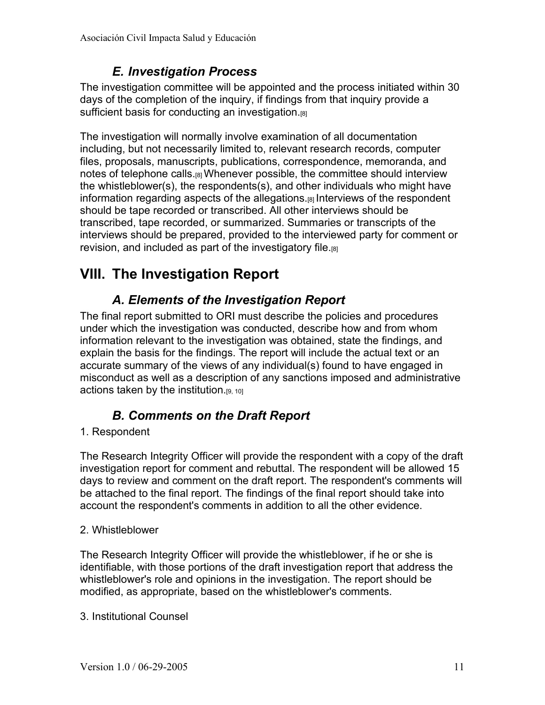### *E. Investigation Process*

<span id="page-13-0"></span>The investigation committee will be appointed and the process initiated within 30 days of the completion of the inquiry, if findings from that inquiry provide a sufficient basis for conducting an investigation.<sup>[8]</sup>

The investigation will normally involve examination of all documentation including, but not necessarily limited to, relevant research records, computer files, proposals, manuscripts, publications, correspondence, memoranda, and notes of telephone calls.<sup>[8]</sup> Whenever possible, the committee should interview the whistleblower(s), the respondents(s), and other individuals who might have information regarding aspects of the allegations.[8] Interviews of the respondent should be tape recorded or transcribed. All other interviews should be transcribed, tape recorded, or summarized. Summaries or transcripts of the interviews should be prepared, provided to the interviewed party for comment or revision, and included as part of the investigatory file.  $[8]$ 

# <span id="page-13-2"></span><span id="page-13-1"></span>**VIII. The Investigation Report**

## *A. Elements of the Investigation Report*

The final report submitted to ORI must describe the policies and procedures under which the investigation was conducted, describe how and from whom information relevant to the investigation was obtained, state the findings, and explain the basis for the findings. The report will include the actual text or an accurate summary of the views of any individual(s) found to have engaged in misconduct as well as a description of any sanctions imposed and administrative actions taken by the institution.  $[9, 10]$ 

### *B. Comments on the Draft Report*

#### <span id="page-13-3"></span>1. Respondent

The Research Integrity Officer will provide the respondent with a copy of the draft investigation report for comment and rebuttal. The respondent will be allowed 15 days to review and comment on the draft report. The respondent's comments will be attached to the final report. The findings of the final report should take into account the respondent's comments in addition to all the other evidence.

#### 2. Whistleblower

The Research Integrity Officer will provide the whistleblower, if he or she is identifiable, with those portions of the draft investigation report that address the whistleblower's role and opinions in the investigation. The report should be modified, as appropriate, based on the whistleblower's comments.

#### 3. Institutional Counsel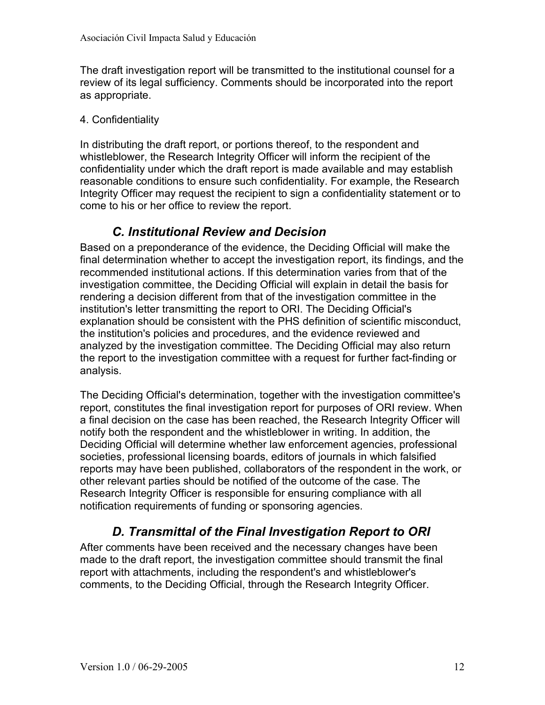The draft investigation report will be transmitted to the institutional counsel for a review of its legal sufficiency. Comments should be incorporated into the report as appropriate.

#### 4. Confidentiality

In distributing the draft report, or portions thereof, to the respondent and whistleblower, the Research Integrity Officer will inform the recipient of the confidentiality under which the draft report is made available and may establish reasonable conditions to ensure such confidentiality. For example, the Research Integrity Officer may request the recipient to sign a confidentiality statement or to come to his or her office to review the report.

#### *C. Institutional Review and Decision*

<span id="page-14-0"></span>Based on a preponderance of the evidence, the Deciding Official will make the final determination whether to accept the investigation report, its findings, and the recommended institutional actions. If this determination varies from that of the investigation committee, the Deciding Official will explain in detail the basis for rendering a decision different from that of the investigation committee in the institution's letter transmitting the report to ORI. The Deciding Official's explanation should be consistent with the PHS definition of scientific misconduct, the institution's policies and procedures, and the evidence reviewed and analyzed by the investigation committee. The Deciding Official may also return the report to the investigation committee with a request for further fact-finding or analysis.

The Deciding Official's determination, together with the investigation committee's report, constitutes the final investigation report for purposes of ORI review. When a final decision on the case has been reached, the Research Integrity Officer will notify both the respondent and the whistleblower in writing. In addition, the Deciding Official will determine whether law enforcement agencies, professional societies, professional licensing boards, editors of journals in which falsified reports may have been published, collaborators of the respondent in the work, or other relevant parties should be notified of the outcome of the case. The Research Integrity Officer is responsible for ensuring compliance with all notification requirements of funding or sponsoring agencies.

### *D. Transmittal of the Final Investigation Report to ORI*

<span id="page-14-1"></span>After comments have been received and the necessary changes have been made to the draft report, the investigation committee should transmit the final report with attachments, including the respondent's and whistleblower's comments, to the Deciding Official, through the Research Integrity Officer.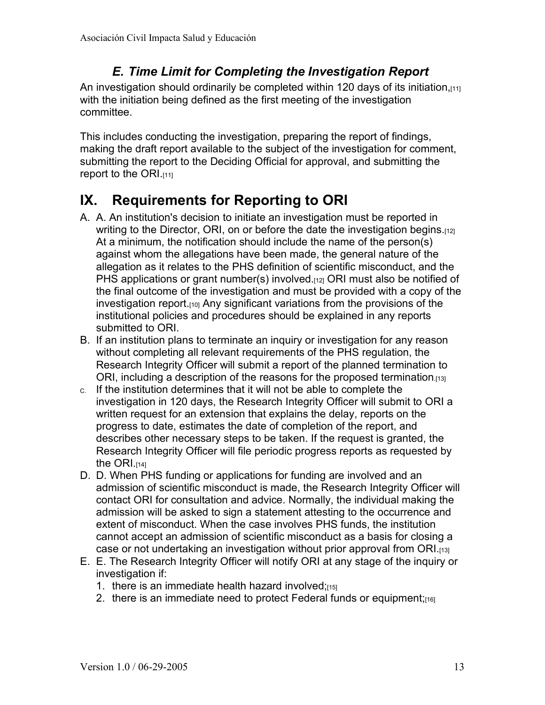#### *E. Time Limit for Completing the Investigation Report*

<span id="page-15-0"></span>An investigation should ordinarily be completed within 120 days of its initiation, [11] with the initiation being defined as the first meeting of the investigation committee.

This includes conducting the investigation, preparing the report of findings, making the draft report available to the subject of the investigation for comment, submitting the report to the Deciding Official for approval, and submitting the report to the  $ORI_{.[11]}$ 

## <span id="page-15-1"></span>**IX. Requirements for Reporting to ORI**

- A. A. An institution's decision to initiate an investigation must be reported in writing to the Director, ORI, on or before the date the investigation begins. [12] At a minimum, the notification should include the name of the person(s) against whom the allegations have been made, the general nature of the allegation as it relates to the PHS definition of scientific misconduct, and the PHS applications or grant number(s) involved.[12] ORI must also be notified of the final outcome of the investigation and must be provided with a copy of the investigation report.<sup>[10]</sup> Any significant variations from the provisions of the institutional policies and procedures should be explained in any reports submitted to ORI.
- B. If an institution plans to terminate an inquiry or investigation for any reason without completing all relevant requirements of the PHS regulation, the Research Integrity Officer will submit a report of the planned termination to ORI, including a description of the reasons for the proposed termination.[13]
- C. If the institution determines that it will not be able to complete the investigation in 120 days, the Research Integrity Officer will submit to ORI a written request for an extension that explains the delay, reports on the progress to date, estimates the date of completion of the report, and describes other necessary steps to be taken. If the request is granted, the Research Integrity Officer will file periodic progress reports as requested by the ORI. $[14]$
- D. D. When PHS funding or applications for funding are involved and an admission of scientific misconduct is made, the Research Integrity Officer will contact ORI for consultation and advice. Normally, the individual making the admission will be asked to sign a statement attesting to the occurrence and extent of misconduct. When the case involves PHS funds, the institution cannot accept an admission of scientific misconduct as a basis for closing a case or not undertaking an investigation without prior approval from  $ORI_{.1131}$
- E. E. The Research Integrity Officer will notify ORI at any stage of the inquiry or investigation if:
	- 1. there is an immediate health hazard involved; $[15]$
	- 2. there is an immediate need to protect Federal funds or equipment;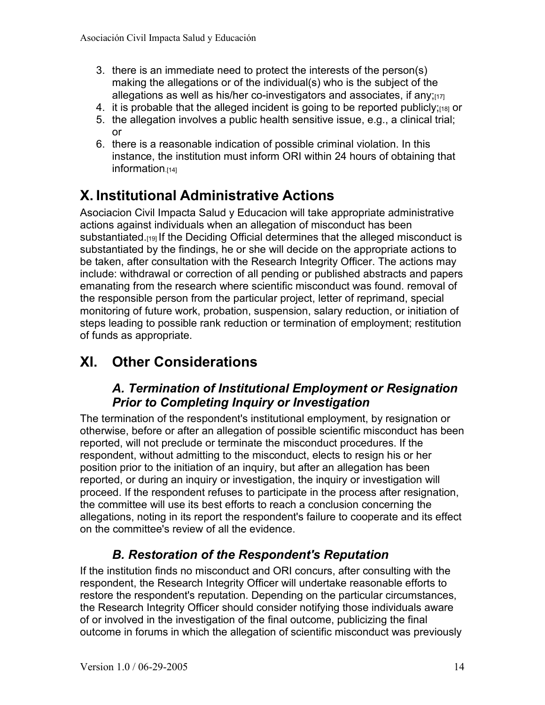- 3. there is an immediate need to protect the interests of the person(s) making the allegations or of the individual(s) who is the subject of the allegations as well as his/her co-investigators and associates, if any; $\frac{1}{17}$
- 4. it is probable that the alleged incident is going to be reported publicly; $\alpha$
- 5. the allegation involves a public health sensitive issue, e.g., a clinical trial; or
- 6. there is a reasonable indication of possible criminal violation. In this instance, the institution must inform ORI within 24 hours of obtaining that information.[14]

# <span id="page-16-0"></span>**X. Institutional Administrative Actions**

Asociacion Civil Impacta Salud y Educacion will take appropriate administrative actions against individuals when an allegation of misconduct has been substantiated.<sub>[19]</sub> If the Deciding Official determines that the alleged misconduct is substantiated by the findings, he or she will decide on the appropriate actions to be taken, after consultation with the Research Integrity Officer. The actions may include: withdrawal or correction of all pending or published abstracts and papers emanating from the research where scientific misconduct was found. removal of the responsible person from the particular project, letter of reprimand, special monitoring of future work, probation, suspension, salary reduction, or initiation of steps leading to possible rank reduction or termination of employment; restitution of funds as appropriate.

## <span id="page-16-2"></span><span id="page-16-1"></span>**XI. Other Considerations**

#### *A. Termination of Institutional Employment or Resignation Prior to Completing Inquiry or Investigation*

The termination of the respondent's institutional employment, by resignation or otherwise, before or after an allegation of possible scientific misconduct has been reported, will not preclude or terminate the misconduct procedures. If the respondent, without admitting to the misconduct, elects to resign his or her position prior to the initiation of an inquiry, but after an allegation has been reported, or during an inquiry or investigation, the inquiry or investigation will proceed. If the respondent refuses to participate in the process after resignation, the committee will use its best efforts to reach a conclusion concerning the allegations, noting in its report the respondent's failure to cooperate and its effect on the committee's review of all the evidence.

### *B. Restoration of the Respondent's Reputation*

<span id="page-16-3"></span>If the institution finds no misconduct and ORI concurs, after consulting with the respondent, the Research Integrity Officer will undertake reasonable efforts to restore the respondent's reputation. Depending on the particular circumstances, the Research Integrity Officer should consider notifying those individuals aware of or involved in the investigation of the final outcome, publicizing the final outcome in forums in which the allegation of scientific misconduct was previously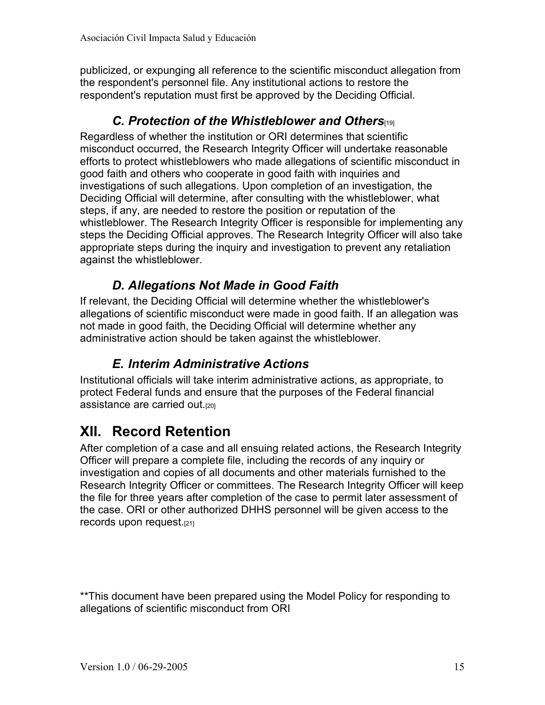publicized, or expunging all reference to the scientific misconduct allegation from the respondent's personnel file. Any institutional actions to restore the respondent's reputation must first be approved by the Deciding Official.

#### *C. Protection of the Whistleblower and Others*[19]

<span id="page-17-0"></span>Regardless of whether the institution or ORI determines that scientific misconduct occurred, the Research Integrity Officer will undertake reasonable efforts to protect whistleblowers who made allegations of scientific misconduct in good faith and others who cooperate in good faith with inquiries and investigations of such allegations. Upon completion of an investigation, the Deciding Official will determine, after consulting with the whistleblower, what steps, if any, are needed to restore the position or reputation of the whistleblower. The Research Integrity Officer is responsible for implementing any steps the Deciding Official approves. The Research Integrity Officer will also take appropriate steps during the inquiry and investigation to prevent any retaliation against the whistleblower.

## *D. Allegations Not Made in Good Faith*

<span id="page-17-1"></span>If relevant, the Deciding Official will determine whether the whistleblower's allegations of scientific misconduct were made in good faith. If an allegation was not made in good faith, the Deciding Official will determine whether any administrative action should be taken against the whistleblower.

### *E. Interim Administrative Actions*

<span id="page-17-2"></span>Institutional officials will take interim administrative actions, as appropriate, to protect Federal funds and ensure that the purposes of the Federal financial assistance are carried out.[20]

# <span id="page-17-3"></span>**XII. Record Retention**

After completion of a case and all ensuing related actions, the Research Integrity Officer will prepare a complete file, including the records of any inquiry or investigation and copies of all documents and other materials furnished to the Research Integrity Officer or committees. The Research Integrity Officer will keep the file for three years after completion of the case to permit later assessment of the case. ORI or other authorized DHHS personnel will be given access to the records upon request.[21]

\*\*This document have been prepared using the Model Policy for responding to allegations of scientific misconduct from ORI